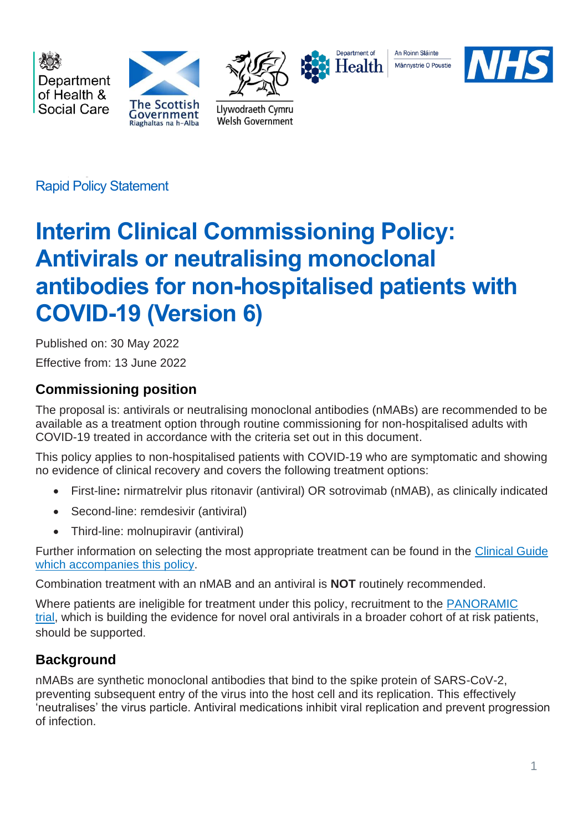

Rapid Policy Statement

# **Interim Clinical Commissioning Policy: Antivirals or neutralising monoclonal antibodies for non-hospitalised patients with COVID-19 (Version 6)**

Published on: 30 May 2022 Effective from: 13 June 2022

# **Commissioning position**

The proposal is: antivirals or neutralising monoclonal antibodies (nMABs) are recommended to be available as a treatment option through routine commissioning for non-hospitalised adults with COVID-19 treated in accordance with the criteria set out in this document.

This policy applies to non-hospitalised patients with COVID-19 who are symptomatic and showing no evidence of clinical recovery and covers the following treatment options:

- First-line**:** nirmatrelvir plus ritonavir (antiviral) OR sotrovimab (nMAB), as clinically indicated
- Second-line: remdesivir (antiviral)
- Third-line: molnupiravir (antiviral)

Further information on selecting the most appropriate treatment can be found in the [Clinical Guide](https://www.cas.mhra.gov.uk/ViewandAcknowledgment/ViewAlert.aspx?AlertID=103208) [which accompanies this policy.](https://www.cas.mhra.gov.uk/ViewandAcknowledgment/ViewAlert.aspx?AlertID=103208)

Combination treatment with an nMAB and an antiviral is **NOT** routinely recommended.

Where patients are ineligible for treatment under this policy, recruitment to the [PANORAMIC](https://www.panoramictrial.org/)  [trial,](https://www.panoramictrial.org/) which is building the evidence for novel oral antivirals in a broader cohort of at risk patients, should be supported.

# **Background**

nMABs are synthetic monoclonal antibodies that bind to the spike protein of SARS-CoV-2, preventing subsequent entry of the virus into the host cell and its replication. This effectively 'neutralises' the virus particle. Antiviral medications inhibit viral replication and prevent progression of infection.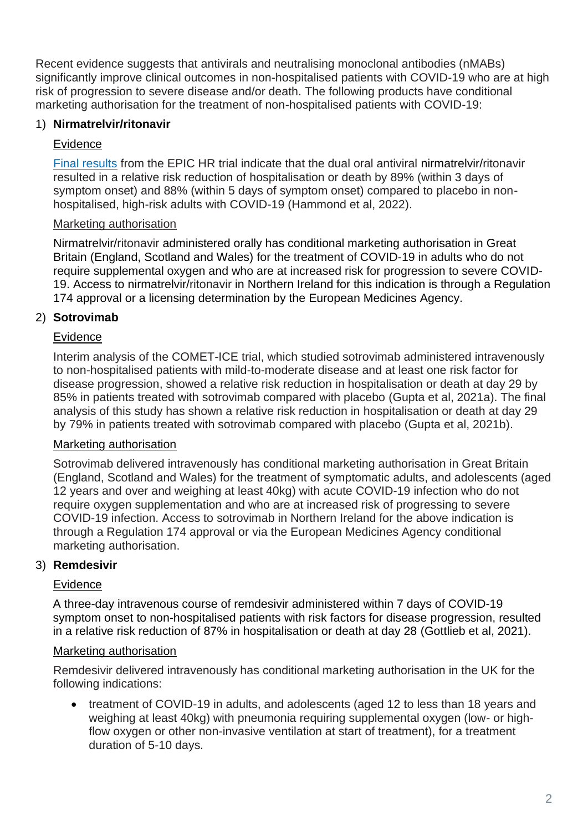Recent evidence suggests that antivirals and neutralising monoclonal antibodies (nMABs) significantly improve clinical outcomes in non-hospitalised patients with COVID-19 who are at high risk of progression to severe disease and/or death. The following products have conditional marketing authorisation for the treatment of non-hospitalised patients with COVID-19:

#### 1) **Nirmatrelvir/ritonavir**

#### Evidence

[Final results](https://www.nejm.org/doi/full/10.1056/NEJMoa2118542?query=featured_home) from the EPIC HR trial indicate that the dual oral antiviral nirmatrelvir/ritonavir resulted in a relative risk reduction of hospitalisation or death by 89% (within 3 days of symptom onset) and 88% (within 5 days of symptom onset) compared to placebo in nonhospitalised, high-risk adults with COVID-19 (Hammond et al, 2022).

#### Marketing authorisation

Nirmatrelvir/ritonavir administered orally has conditional marketing authorisation in Great Britain (England, Scotland and Wales) for the treatment of COVID-19 in adults who do not require supplemental oxygen and who are at increased risk for progression to severe COVID-19. Access to nirmatrelvir/ritonavir in Northern Ireland for this indication is through a Regulation 174 approval or a licensing determination by the European Medicines Agency.

#### 2) **Sotrovimab**

#### Evidence

Interim analysis of the COMET-ICE trial, which studied sotrovimab administered intravenously to non-hospitalised patients with mild-to-moderate disease and at least one risk factor for disease progression, showed a relative risk reduction in hospitalisation or death at day 29 by 85% in patients treated with sotrovimab compared with placebo (Gupta et al, 2021a). The final analysis of this study has shown a relative risk reduction in hospitalisation or death at day 29 by 79% in patients treated with sotrovimab compared with placebo (Gupta et al, 2021b).

#### Marketing authorisation

Sotrovimab delivered intravenously has conditional marketing authorisation in Great Britain (England, Scotland and Wales) for the treatment of symptomatic adults, and adolescents (aged 12 years and over and weighing at least 40kg) with acute COVID-19 infection who do not require oxygen supplementation and who are at increased risk of progressing to severe COVID-19 infection. Access to sotrovimab in Northern Ireland for the above indication is through a Regulation 174 approval or via the European Medicines Agency conditional marketing authorisation.

#### 3) **Remdesivir**

#### Evidence

A three-day intravenous course of remdesivir administered within 7 days of COVID-19 symptom onset to non-hospitalised patients with risk factors for disease progression, resulted in a relative risk reduction of 87% in hospitalisation or death at day 28 (Gottlieb et al, 2021).

#### Marketing authorisation

Remdesivir delivered intravenously has conditional marketing authorisation in the UK for the following indications:

• treatment of COVID-19 in adults, and adolescents (aged 12 to less than 18 years and weighing at least 40kg) with pneumonia requiring supplemental oxygen (low- or highflow oxygen or other non-invasive ventilation at start of treatment), for a treatment duration of 5-10 days.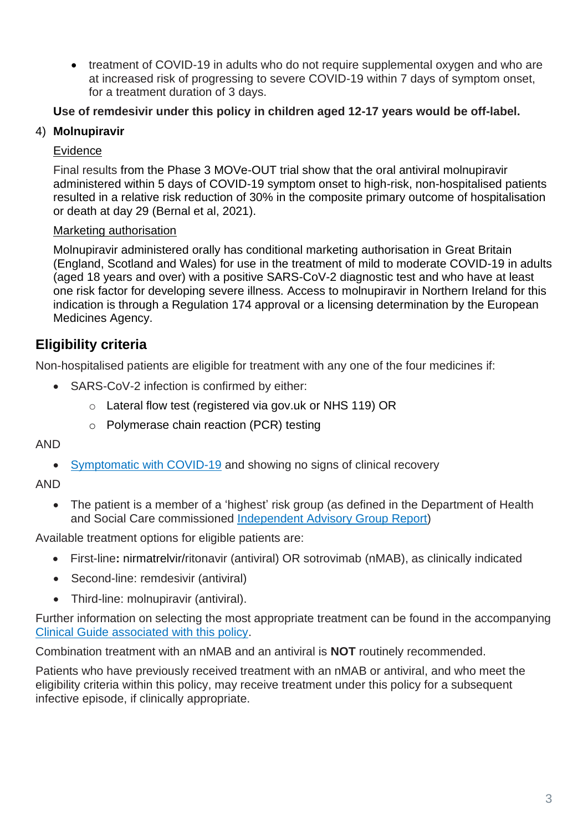• treatment of COVID-19 in adults who do not require supplemental oxygen and who are at increased risk of progressing to severe COVID-19 within 7 days of symptom onset, for a treatment duration of 3 days.

#### **Use of remdesivir under this policy in children aged 12-17 years would be off-label.**

#### 4) **Molnupiravir**

#### Evidence

Final results from the Phase 3 MOVe-OUT trial show that the oral antiviral molnupiravir administered within 5 days of COVID-19 symptom onset to high-risk, non-hospitalised patients resulted in a relative risk reduction of 30% in the composite primary outcome of hospitalisation or death at day 29 (Bernal et al, 2021).

#### Marketing authorisation

Molnupiravir administered orally has conditional marketing authorisation in Great Britain (England, Scotland and Wales) for use in the treatment of mild to moderate COVID-19 in adults (aged 18 years and over) with a positive SARS-CoV-2 diagnostic test and who have at least one risk factor for developing severe illness. Access to molnupiravir in Northern Ireland for this indication is through a Regulation 174 approval or a licensing determination by the European Medicines Agency.

## **Eligibility criteria**

Non-hospitalised patients are eligible for treatment with any one of the four medicines if:

- SARS-CoV-2 infection is confirmed by either:
	- o Lateral flow test (registered via gov.uk or NHS 119) OR
	- o Polymerase chain reaction (PCR) testing

#### AND

• [Symptomatic with](https://www.nhs.uk/conditions/coronavirus-covid-19/symptoms/) COVID-19 and showing no signs of clinical recovery

AND

• The patient is a member of a 'highest' risk group (as defined in the Department of Health and Social Care commissioned [Independent Advisory Group Report\)](https://www.gov.uk/government/publications/higher-risk-patients-eligible-for-covid-19-treatments-independent-advisory-group-report)

Available treatment options for eligible patients are:

- First-line**:** nirmatrelvir/ritonavir (antiviral) OR sotrovimab (nMAB), as clinically indicated
- Second-line: remdesivir (antiviral)
- Third-line: molnupiravir (antiviral).

Further information on selecting the most appropriate treatment can be found in the accompanying [Clinical Guide associated with this policy.](https://www.cas.mhra.gov.uk/ViewandAcknowledgment/ViewAlert.aspx?AlertID=103208)

Combination treatment with an nMAB and an antiviral is **NOT** routinely recommended.

Patients who have previously received treatment with an nMAB or antiviral, and who meet the eligibility criteria within this policy, may receive treatment under this policy for a subsequent infective episode, if clinically appropriate.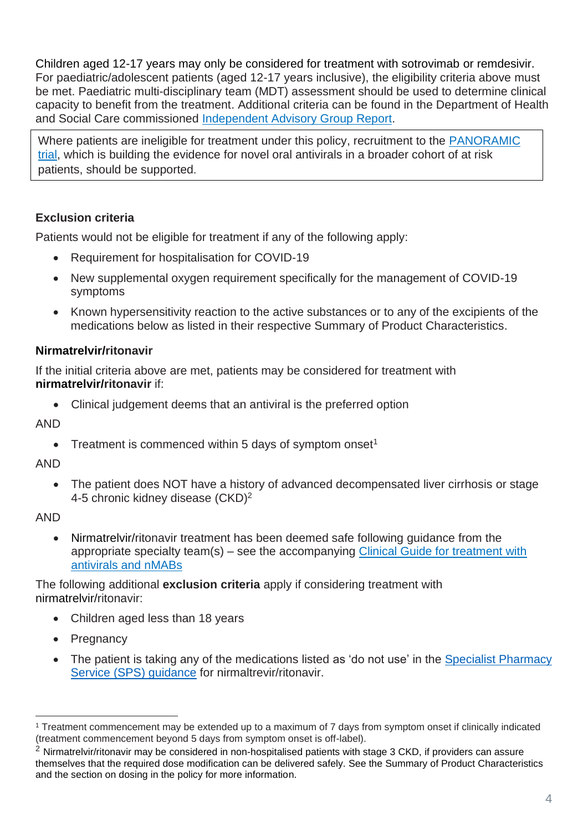Children aged 12-17 years may only be considered for treatment with sotrovimab or remdesivir. For paediatric/adolescent patients (aged 12-17 years inclusive), the eligibility criteria above must be met. Paediatric multi-disciplinary team (MDT) assessment should be used to determine clinical capacity to benefit from the treatment. Additional criteria can be found in the Department of Health and Social Care commissioned [Independent Advisory Group Report.](https://www.gov.uk/government/publications/higher-risk-patients-eligible-for-covid-19-treatments-independent-advisory-group-report)

Where patients are ineligible for treatment under this policy, recruitment to the [PANORAMIC](https://www.panoramictrial.org/)  [trial,](https://www.panoramictrial.org/) which is building the evidence for novel oral antivirals in a broader cohort of at risk patients, should be supported.

## **Exclusion criteria**

Patients would not be eligible for treatment if any of the following apply:

- Requirement for hospitalisation for COVID-19
- New supplemental oxygen requirement specifically for the management of COVID-19 symptoms
- Known hypersensitivity reaction to the active substances or to any of the excipients of the medications below as listed in their respective Summary of Product Characteristics.

#### **Nirmatrelvir/ritonavir**

If the initial criteria above are met, patients may be considered for treatment with **nirmatrelvir/ritonavir** if:

• Clinical judgement deems that an antiviral is the preferred option

AND

• Treatment is commenced within 5 days of symptom onset<sup>1</sup>

AND

• The patient does NOT have a history of advanced decompensated liver cirrhosis or stage 4-5 chronic kidney disease (CKD)<sup>2</sup>

AND

• Nirmatrelvir/ritonavir treatment has been deemed safe following guidance from the appropriate specialty team(s) – see the accompanying [Clinical Guide for treatment with](https://www.cas.mhra.gov.uk/ViewandAcknowledgment/ViewAlert.aspx?AlertID=103208)  [antivirals and nMABs](https://www.cas.mhra.gov.uk/ViewandAcknowledgment/ViewAlert.aspx?AlertID=103208)

The following additional **exclusion criteria** apply if considering treatment with nirmatrelvir/ritonavir:

- Children aged less than 18 years
- Pregnancy
- The patient is taking any of the medications listed as 'do not use' in the Specialist Pharmacy [Service \(SPS\) guidance](https://www.sps.nhs.uk/home/guidance/covid-19-treatments/oral-antivirals/) for nirmaltrevir/ritonavir.

<sup>1</sup> Treatment commencement may be extended up to a maximum of 7 days from symptom onset if clinically indicated (treatment commencement beyond 5 days from symptom onset is off-label).

 $2$  Nirmatrelvir/ritonavir may be considered in non-hospitalised patients with stage 3 CKD, if providers can assure themselves that the required dose modification can be delivered safely. See the Summary of Product Characteristics and the section on dosing in the policy for more information.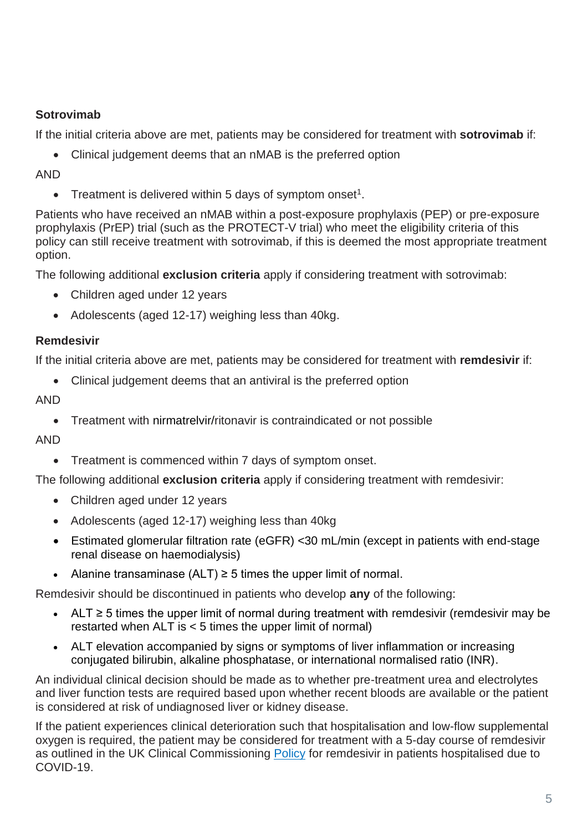## **Sotrovimab**

If the initial criteria above are met, patients may be considered for treatment with **sotrovimab** if:

• Clinical judgement deems that an nMAB is the preferred option

#### AND

• Treatment is delivered within 5 days of symptom onset<sup>1</sup>.

Patients who have received an nMAB within a post-exposure prophylaxis (PEP) or pre-exposure prophylaxis (PrEP) trial (such as the PROTECT-V trial) who meet the eligibility criteria of this policy can still receive treatment with sotrovimab, if this is deemed the most appropriate treatment option.

The following additional **exclusion criteria** apply if considering treatment with sotrovimab:

- Children aged under 12 years
- Adolescents (aged 12-17) weighing less than 40kg.

## **Remdesivir**

If the initial criteria above are met, patients may be considered for treatment with **remdesivir** if:

• Clinical judgement deems that an antiviral is the preferred option

#### AND

• Treatment with nirmatrelvir/ritonavir is contraindicated or not possible

#### AND

• Treatment is commenced within 7 days of symptom onset.

The following additional **exclusion criteria** apply if considering treatment with remdesivir:

- Children aged under 12 years
- Adolescents (aged 12-17) weighing less than 40kg
- Estimated glomerular filtration rate (eGFR) <30 mL/min (except in patients with end-stage renal disease on haemodialysis)
- Alanine transaminase  $(ALT) \geq 5$  times the upper limit of normal.

Remdesivir should be discontinued in patients who develop **any** of the following:

- ALT ≥ 5 times the upper limit of normal during treatment with remdesivir (remdesivir may be restarted when ALT is < 5 times the upper limit of normal)
- ALT elevation accompanied by signs or symptoms of liver inflammation or increasing conjugated bilirubin, alkaline phosphatase, or international normalised ratio (INR).

An individual clinical decision should be made as to whether pre-treatment urea and electrolytes and liver function tests are required based upon whether recent bloods are available or the patient is considered at risk of undiagnosed liver or kidney disease.

If the patient experiences clinical deterioration such that hospitalisation and low-flow supplemental oxygen is required, the patient may be considered for treatment with a 5-day course of remdesivir as outlined in the UK Clinical Commissioning [Policy](https://www.england.nhs.uk/coronavirus/publication/interim-clinical-commissioning-policy-remdesivir-for-patients-hospitalised-due-to-covid-19-adults-and-adolescents-12-years-and-older/) for remdesivir in patients hospitalised due to COVID-19.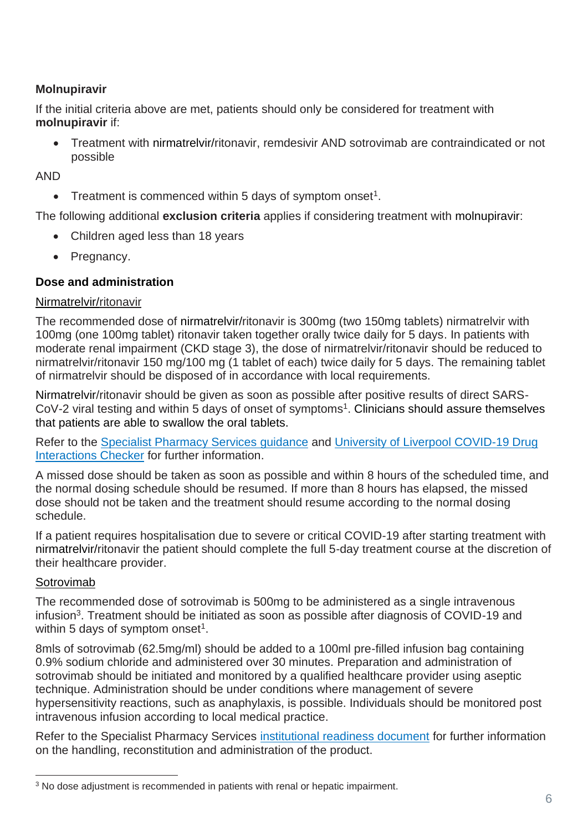#### **Molnupiravir**

If the initial criteria above are met, patients should only be considered for treatment with **molnupiravir** if:

• Treatment with nirmatrelvir/ritonavir, remdesivir AND sotrovimab are contraindicated or not possible

AND

• Treatment is commenced within 5 days of symptom onset<sup>1</sup>.

The following additional **exclusion criteria** applies if considering treatment with molnupiravir:

- Children aged less than 18 years
- Pregnancy.

#### **Dose and administration**

#### Nirmatrelvir/ritonavir

The recommended dose of nirmatrelvir/ritonavir is 300mg (two 150mg tablets) nirmatrelvir with 100mg (one 100mg tablet) ritonavir taken together orally twice daily for 5 days. In patients with moderate renal impairment (CKD stage 3), the dose of nirmatrelvir/ritonavir should be reduced to nirmatrelvir/ritonavir 150 mg/100 mg (1 tablet of each) twice daily for 5 days. The remaining tablet of nirmatrelvir should be disposed of in accordance with local requirements.

Nirmatrelvir/ritonavir should be given as soon as possible after positive results of direct SARS-CoV-2 viral testing and within 5 days of onset of symptoms<sup>1</sup>. Clinicians should assure themselves that patients are able to swallow the oral tablets.

Refer to the [Specialist Pharmacy Services guidance](https://www.sps.nhs.uk/home/guidance/covid-19-treatments/oral-antivirals/) and [University of Liverpool COVID-19 Drug](https://www.covid19-druginteractions.org/checker)  [Interactions Checker](https://www.covid19-druginteractions.org/checker) for further information.

A missed dose should be taken as soon as possible and within 8 hours of the scheduled time, and the normal dosing schedule should be resumed. If more than 8 hours has elapsed, the missed dose should not be taken and the treatment should resume according to the normal dosing schedule.

If a patient requires hospitalisation due to severe or critical COVID-19 after starting treatment with nirmatrelvir/ritonavir the patient should complete the full 5-day treatment course at the discretion of their healthcare provider.

#### Sotrovimab

The recommended dose of sotrovimab is 500mg to be administered as a single intravenous infusion<sup>3</sup>. Treatment should be initiated as soon as possible after diagnosis of COVID-19 and within 5 days of symptom onset<sup>1</sup>.

8mls of sotrovimab (62.5mg/ml) should be added to a 100ml pre-filled infusion bag containing 0.9% sodium chloride and administered over 30 minutes. Preparation and administration of sotrovimab should be initiated and monitored by a qualified healthcare provider using aseptic technique. Administration should be under conditions where management of severe hypersensitivity reactions, such as anaphylaxis, is possible. Individuals should be monitored post intravenous infusion according to local medical practice.

Refer to the Specialist Pharmacy Services [institutional readiness document](https://www.sps.nhs.uk/home/guidance/covid-19-treatments/neutralising-monoclonal-antibodies/sotrovimab-xevudy/) for further information on the handling, reconstitution and administration of the product.

<sup>3</sup> No dose adjustment is recommended in patients with renal or hepatic impairment.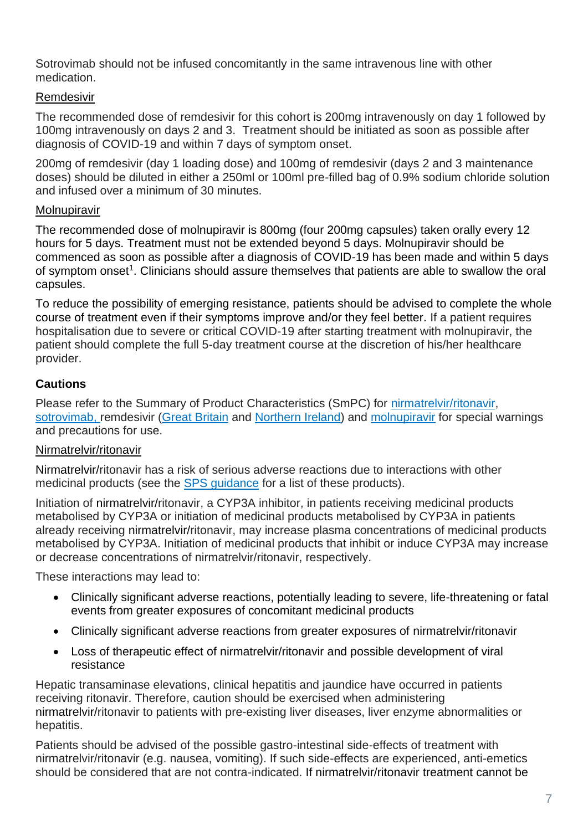Sotrovimab should not be infused concomitantly in the same intravenous line with other medication.

#### Remdesivir

The recommended dose of remdesivir for this cohort is 200mg intravenously on day 1 followed by 100mg intravenously on days 2 and 3. Treatment should be initiated as soon as possible after diagnosis of COVID-19 and within 7 days of symptom onset.

200mg of remdesivir (day 1 loading dose) and 100mg of remdesivir (days 2 and 3 maintenance doses) should be diluted in either a 250ml or 100ml pre-filled bag of 0.9% sodium chloride solution and infused over a minimum of 30 minutes.

#### Molnupiravir

The recommended dose of molnupiravir is 800mg (four 200mg capsules) taken orally every 12 hours for 5 days. Treatment must not be extended beyond 5 days. Molnupiravir should be commenced as soon as possible after a diagnosis of COVID-19 has been made and within 5 days of symptom onset<sup>1</sup>. Clinicians should assure themselves that patients are able to swallow the oral capsules.

To reduce the possibility of emerging resistance, patients should be advised to complete the whole course of treatment even if their symptoms improve and/or they feel better. If a patient requires hospitalisation due to severe or critical COVID-19 after starting treatment with molnupiravir, the patient should complete the full 5-day treatment course at the discretion of his/her healthcare provider.

#### **Cautions**

Please refer to the Summary of Product Characteristics (SmPC) for [nirmatrelvir/ritonavir,](https://www.gov.uk/government/publications/regulatory-approval-of-paxlovid/summary-of-product-characteristics-for-paxlovid) [sotrovimab,](https://www.gov.uk/government/publications/regulatory-approval-of-xevudy-sotrovimab/summary-of-product-characteristics-for-xevudy) remdesivir [\(Great Britain](https://www.medicines.org.uk/emc/product/11597/smpc#gref) and [Northern Ireland\)](https://www.emcmedicines.com/en-gb/northernireland/medicine?id=e8165603-4ea0-4a1a-9359-b6de8eeb85f5&type=smpc) and [molnupiravir](https://www.medicines.org.uk/emc/product/13044/smpc#gref) for special warnings and precautions for use.

#### Nirmatrelvir/ritonavir

Nirmatrelvir/ritonavir has a risk of serious adverse reactions due to interactions with other medicinal products (see the [SPS guidance](https://www.sps.nhs.uk/home/guidance/covid-19-treatments/oral-antivirals/) for a list of these products).

Initiation of nirmatrelvir/ritonavir, a CYP3A inhibitor, in patients receiving medicinal products metabolised by CYP3A or initiation of medicinal products metabolised by CYP3A in patients already receiving nirmatrelvir/ritonavir, may increase plasma concentrations of medicinal products metabolised by CYP3A. Initiation of medicinal products that inhibit or induce CYP3A may increase or decrease concentrations of nirmatrelvir/ritonavir, respectively.

These interactions may lead to:

- Clinically significant adverse reactions, potentially leading to severe, life-threatening or fatal events from greater exposures of concomitant medicinal products
- Clinically significant adverse reactions from greater exposures of nirmatrelvir/ritonavir
- Loss of therapeutic effect of nirmatrelvir/ritonavir and possible development of viral resistance

Hepatic transaminase elevations, clinical hepatitis and jaundice have occurred in patients receiving ritonavir. Therefore, caution should be exercised when administering nirmatrelvir/ritonavir to patients with pre-existing liver diseases, liver enzyme abnormalities or hepatitis.

Patients should be advised of the possible gastro-intestinal side-effects of treatment with nirmatrelvir/ritonavir (e.g. nausea, vomiting). If such side-effects are experienced, anti-emetics should be considered that are not contra-indicated. If nirmatrelvir/ritonavir treatment cannot be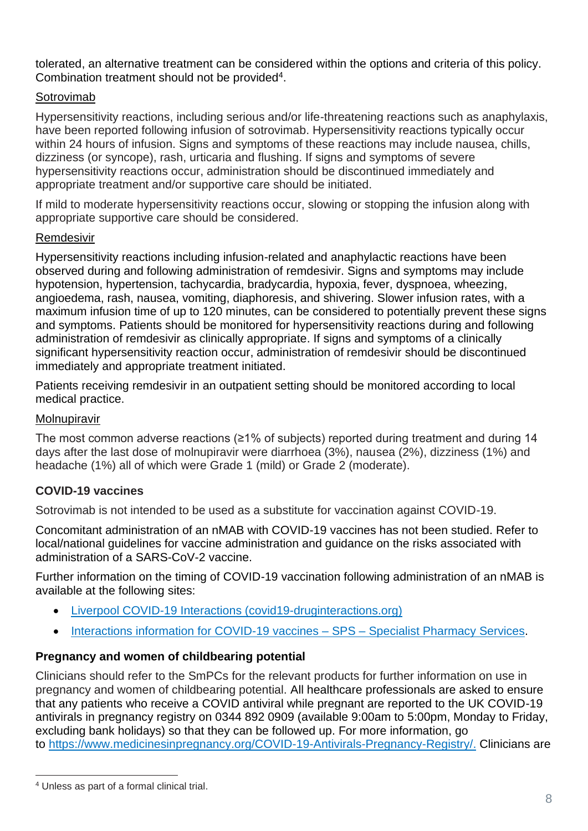tolerated, an alternative treatment can be considered within the options and criteria of this policy. Combination treatment should not be provided $4$ .

#### Sotrovimab

Hypersensitivity reactions, including serious and/or life-threatening reactions such as anaphylaxis, have been reported following infusion of sotrovimab. Hypersensitivity reactions typically occur within 24 hours of infusion. Signs and symptoms of these reactions may include nausea, chills, dizziness (or syncope), rash, urticaria and flushing. If signs and symptoms of severe hypersensitivity reactions occur, administration should be discontinued immediately and appropriate treatment and/or supportive care should be initiated.

If mild to moderate hypersensitivity reactions occur, slowing or stopping the infusion along with appropriate supportive care should be considered.

#### Remdesivir

Hypersensitivity reactions including infusion-related and anaphylactic reactions have been observed during and following administration of remdesivir. Signs and symptoms may include hypotension, hypertension, tachycardia, bradycardia, hypoxia, fever, dyspnoea, wheezing, angioedema, rash, nausea, vomiting, diaphoresis, and shivering. Slower infusion rates, with a maximum infusion time of up to 120 minutes, can be considered to potentially prevent these signs and symptoms. Patients should be monitored for hypersensitivity reactions during and following administration of remdesivir as clinically appropriate. If signs and symptoms of a clinically significant hypersensitivity reaction occur, administration of remdesivir should be discontinued immediately and appropriate treatment initiated.

Patients receiving remdesivir in an outpatient setting should be monitored according to local medical practice.

#### Molnupiravir

The most common adverse reactions (≥1% of subjects) reported during treatment and during 14 days after the last dose of molnupiravir were diarrhoea (3%), nausea (2%), dizziness (1%) and headache (1%) all of which were Grade 1 (mild) or Grade 2 (moderate).

#### **COVID-19 vaccines**

Sotrovimab is not intended to be used as a substitute for vaccination against COVID-19.

Concomitant administration of an nMAB with COVID-19 vaccines has not been studied. Refer to local/national guidelines for vaccine administration and guidance on the risks associated with administration of a SARS-CoV-2 vaccine.

Further information on the timing of COVID-19 vaccination following administration of an nMAB is available at the following sites:

- [Liverpool COVID-19 Interactions \(covid19-druginteractions.org\)](https://www.covid19-druginteractions.org/checker)
- [Interactions information for COVID-19 vaccines –](https://www.sps.nhs.uk/articles/interactions-information-for-covid-19-vaccines/) SPS Specialist Pharmacy Services.

#### **Pregnancy and women of childbearing potential**

Clinicians should refer to the SmPCs for the relevant products for further information on use in pregnancy and women of childbearing potential. All healthcare professionals are asked to ensure that any patients who receive a COVID antiviral while pregnant are reported to the UK COVID-19 antivirals in pregnancy registry on 0344 892 0909 (available 9:00am to 5:00pm, Monday to Friday, excluding bank holidays) so that they can be followed up. For more information, go to <https://www.medicinesinpregnancy.org/COVID-19-Antivirals-Pregnancy-Registry/>[.](https://eur01.safelinks.protection.outlook.com/?url=http%3A%2F%2Fwww.uktis.org%2F&data=04%7C01%7CKatherine.Donegan%40mhra.gov.uk%7Cc0b4d99cb3a44187ab3008da1cc4441e%7Ce527ea5c62584cd2a27f8bd237ec4c26%7C0%7C0%7C637853926526930930%7CUnknown%7CTWFpbGZsb3d8eyJWIjoiMC4wLjAwMDAiLCJQIjoiV2luMzIiLCJBTiI6Ik1haWwiLCJXVCI6Mn0%3D%7C3000&sdata=kwlQsjQ2iMRP0A%2FT0a1c4RlDGDQFwWHCa8tRjlYFaG4%3D&reserved=0) Clinicians are

<sup>4</sup> Unless as part of a formal clinical trial.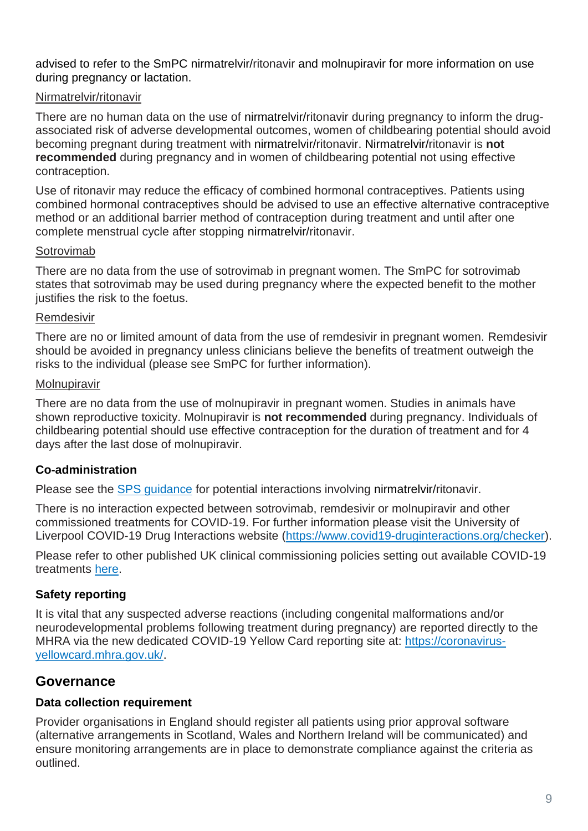advised to refer to the SmPC nirmatrelvir/ritonavir and molnupiravir for more information on use during pregnancy or lactation.

#### Nirmatrelvir/ritonavir

There are no human data on the use of nirmatrelvir/ritonavir during pregnancy to inform the drugassociated risk of adverse developmental outcomes, women of childbearing potential should avoid becoming pregnant during treatment with nirmatrelvir/ritonavir. Nirmatrelvir/ritonavir is **not recommended** during pregnancy and in women of childbearing potential not using effective contraception.

Use of ritonavir may reduce the efficacy of combined hormonal contraceptives. Patients using combined hormonal contraceptives should be advised to use an effective alternative contraceptive method or an additional barrier method of contraception during treatment and until after one complete menstrual cycle after stopping nirmatrelvir/ritonavir.

#### Sotrovimab

There are no data from the use of sotrovimab in pregnant women. The SmPC for sotrovimab states that sotrovimab may be used during pregnancy where the expected benefit to the mother justifies the risk to the foetus.

#### Remdesivir

There are no or limited amount of data from the use of remdesivir in pregnant women. Remdesivir should be avoided in pregnancy unless clinicians believe the benefits of treatment outweigh the risks to the individual (please see SmPC for further information).

#### Molnupiravir

There are no data from the use of molnupiravir in pregnant women. Studies in animals have shown reproductive toxicity. Molnupiravir is **not recommended** during pregnancy. Individuals of childbearing potential should use effective contraception for the duration of treatment and for 4 days after the last dose of molnupiravir.

## **Co-administration**

Please see the **SPS** guidance for potential interactions involving nirmatrelvir/ritonavir.

There is no interaction expected between sotrovimab, remdesivir or molnupiravir and other commissioned treatments for COVID-19. For further information please visit the University of Liverpool COVID-19 Drug Interactions website [\(https://www.covid19-druginteractions.org/checker\)](https://www.covid19-druginteractions.org/checker).

Please refer to other published UK clinical commissioning policies setting out available COVID-19 treatments [here.](https://www.cas.mhra.gov.uk/Help/CoronavirusAlerts.aspx)

## **Safety reporting**

It is vital that any suspected adverse reactions (including congenital malformations and/or neurodevelopmental problems following treatment during pregnancy) are reported directly to the MHRA via the new dedicated COVID-19 Yellow Card reporting site at: [https://coronavirus](https://coronavirus-yellowcard.mhra.gov.uk/)[yellowcard.mhra.gov.uk/.](https://coronavirus-yellowcard.mhra.gov.uk/)

## **Governance**

#### **Data collection requirement**

Provider organisations in England should register all patients using prior approval software (alternative arrangements in Scotland, Wales and Northern Ireland will be communicated) and ensure monitoring arrangements are in place to demonstrate compliance against the criteria as outlined.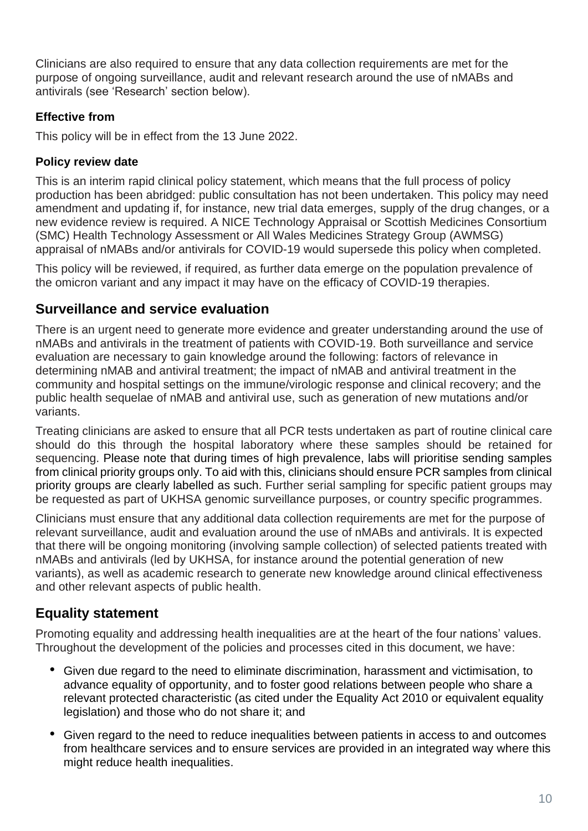Clinicians are also required to ensure that any data collection requirements are met for the purpose of ongoing surveillance, audit and relevant research around the use of nMABs and antivirals (see 'Research' section below).

## **Effective from**

This policy will be in effect from the 13 June 2022.

#### **Policy review date**

This is an interim rapid clinical policy statement, which means that the full process of policy production has been abridged: public consultation has not been undertaken. This policy may need amendment and updating if, for instance, new trial data emerges, supply of the drug changes, or a new evidence review is required. A NICE Technology Appraisal or Scottish Medicines Consortium (SMC) Health Technology Assessment or All Wales Medicines Strategy Group (AWMSG) appraisal of nMABs and/or antivirals for COVID-19 would supersede this policy when completed.

This policy will be reviewed, if required, as further data emerge on the population prevalence of the omicron variant and any impact it may have on the efficacy of COVID-19 therapies.

## **Surveillance and service evaluation**

There is an urgent need to generate more evidence and greater understanding around the use of nMABs and antivirals in the treatment of patients with COVID-19. Both surveillance and service evaluation are necessary to gain knowledge around the following: factors of relevance in determining nMAB and antiviral treatment; the impact of nMAB and antiviral treatment in the community and hospital settings on the immune/virologic response and clinical recovery; and the public health sequelae of nMAB and antiviral use, such as generation of new mutations and/or variants.

Treating clinicians are asked to ensure that all PCR tests undertaken as part of routine clinical care should do this through the hospital laboratory where these samples should be retained for sequencing. Please note that during times of high prevalence, labs will prioritise sending samples from clinical priority groups only. To aid with this, clinicians should ensure PCR samples from clinical priority groups are clearly labelled as such. Further serial sampling for specific patient groups may be requested as part of UKHSA genomic surveillance purposes, or country specific programmes.

Clinicians must ensure that any additional data collection requirements are met for the purpose of relevant surveillance, audit and evaluation around the use of nMABs and antivirals. It is expected that there will be ongoing monitoring (involving sample collection) of selected patients treated with nMABs and antivirals (led by UKHSA, for instance around the potential generation of new variants), as well as academic research to generate new knowledge around clinical effectiveness and other relevant aspects of public health.

# **Equality statement**

Promoting equality and addressing health inequalities are at the heart of the four nations' values. Throughout the development of the policies and processes cited in this document, we have:

- Given due regard to the need to eliminate discrimination, harassment and victimisation, to advance equality of opportunity, and to foster good relations between people who share a relevant protected characteristic (as cited under the Equality Act 2010 or equivalent equality legislation) and those who do not share it; and
- Given regard to the need to reduce inequalities between patients in access to and outcomes from healthcare services and to ensure services are provided in an integrated way where this might reduce health inequalities.